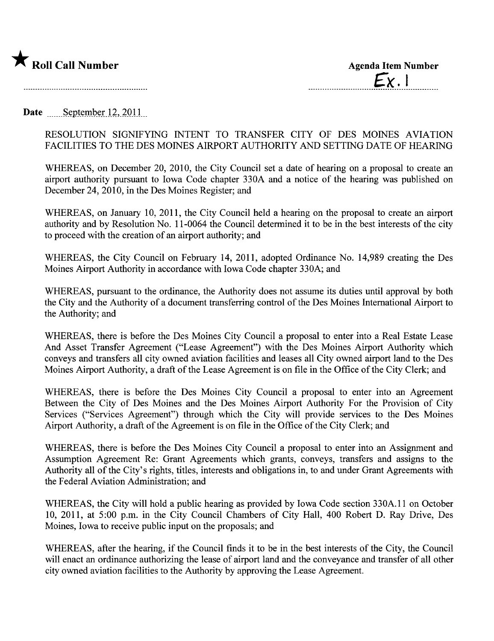

Date September 12,  $2011$ 

## RESOLUTION SIGNIFYING INTENT TO TRANSFER CITY OF DES MOINES AVIATION FACILITIES TO THE DES MOINES AIRPORT AUTHORITY AND SETTING DATE OF HEARING

WHEREAS, on December 20, 2010, the City Council set a date of hearing on a proposal to create an airport authority pursuant to Iowa Code chapter 330A and a notice of the hearing was published on December 24,2010, in the Des Moines Register; and

WHEREAS, on January 10, 2011, the City Council held a hearing on the proposal to create an airport authority and by Resolution No. 11-0064 the Council determined it to be in the best interests of the city to proceed with the creation of an airport authority; and

WHEREAS, the City Council on February 14, 2011, adopted Ordinance No. 14,989 creating the Des Moines Airport Authority in accordance with Iowa Code chapter 330A; and

WHEREAS, pursuant to the ordinance, the Authority does not assume its duties until approval by both the City and the Authority of a document transferring control of the Des Moines International Airport to the Authority; and

WHEREAS, there is before the Des Moines City Council a proposal to enter into a Real Estate Lease And Asset Transfer Agreement ("Lease Agreement") with the Des Moines Airport Authority which conveys and transfers all city owned aviation facilities and leases all City owned airport land to the Des Moines Airport Authority, a draft of the Lease Agreement is on file in the Office of the City Clerk; and

WHEREAS, there is before the Des Moines City Council a proposal to enter into an Agreement Between the City of Des Moines and the Des Moines Airport Authority For the Provision of City Services ("Services Agreement") through which the City will provide services to the Des Moines Airport Authority, a draft of the Agreement is on file in the Office of the City Clerk; and

WHEREAS, there is before the Des Moines City Council a proposal to enter into an Assignment and Assumption Agreement Re: Grant Agreements which grants, conveys, transfers and assigns to the Authority all of the City's rights, titles, interests and obligations in, to and under Grant Agreements with the Federal Aviation Administration; and

WHEREAS, the City will hold a public hearing as provided by Iowa Code section 330A.11 on October 10, 2011, at 5:00 p.m. in the City Council Chambers of City Hall, 400 Robert D. Ray Drive, Des Moines, Iowa to receive public input on the proposals; and

WHEREAS, after the hearing, if the Council finds it to be in the best interests of the City, the Council will enact an ordinance authorizing the lease of airport land and the conveyance and transfer of all other city owned aviation facilities to the Authority by approving the Lease Agreement.